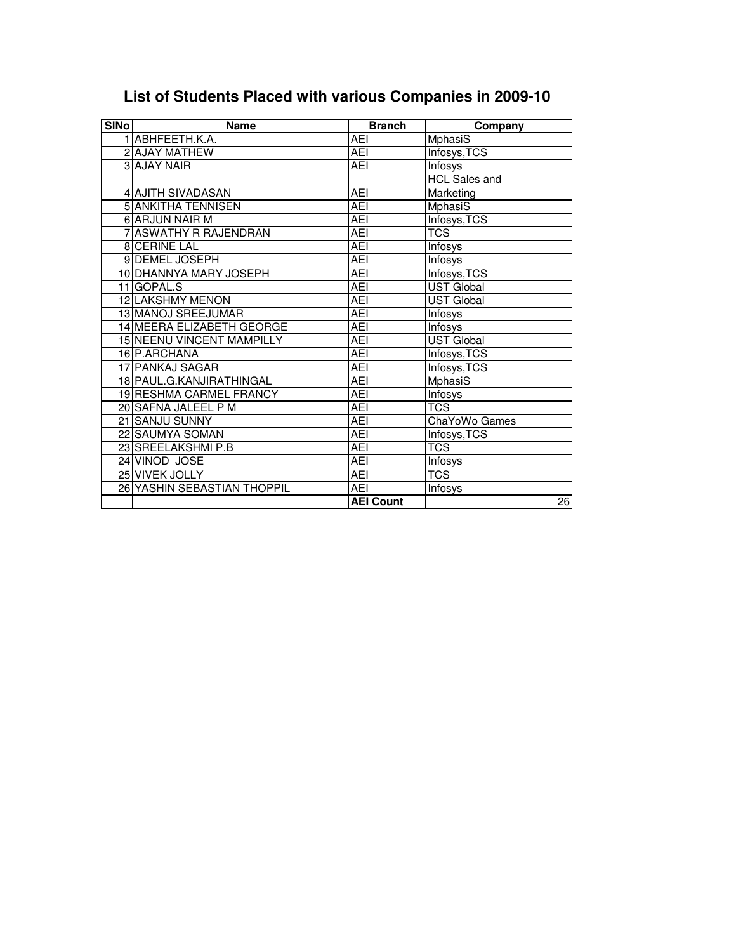| <b>SINo</b> | <b>Name</b>                    | <b>Branch</b>    | Company              |
|-------------|--------------------------------|------------------|----------------------|
|             | 1 ABHFEETH.K.A.                | AEI              | MphasiS              |
|             | 2 AJAY MATHEW                  | <b>AEI</b>       | Infosys, TCS         |
|             | <b>3 AJAY NAIR</b>             | AEI              | Infosys              |
|             |                                |                  | <b>HCL Sales and</b> |
|             | 4 AJITH SIVADASAN              | AEI              | Marketing            |
|             | <b>5 ANKITHA TENNISEN</b>      | <b>AEI</b>       | <b>MphasiS</b>       |
|             | <b>6 ARJUN NAIR M</b>          | <b>AEI</b>       | Infosys, TCS         |
|             | 7 ASWATHY R RAJENDRAN          | <b>AEI</b>       | <b>TCS</b>           |
|             | 8 CERINE LAL                   | <b>AEI</b>       | Infosys              |
|             | 9 DEMEL JOSEPH                 | <b>AEI</b>       | Infosys              |
|             | 10 DHANNYA MARY JOSEPH         | <b>AEI</b>       | Infosys, TCS         |
|             | 11 GOPAL.S                     | <b>AEI</b>       | <b>UST Global</b>    |
|             | 12 LAKSHMY MENON               | <b>AEI</b>       | <b>UST Global</b>    |
|             | 13 MANOJ SREEJUMAR             | <b>AEI</b>       | Infosys              |
|             | 14 MEERA ELIZABETH GEORGE      | AEI              | <b>Infosys</b>       |
|             | 15 NEENU VINCENT MAMPILLY      | AEI              | <b>UST Global</b>    |
|             | 16 P.ARCHANA                   | <b>AEI</b>       | Infosys, TCS         |
|             | 17 PANKAJ SAGAR                | <b>AEI</b>       | Infosys, TCS         |
|             | 18 PAUL G. KANJIRATHINGAL      | AEI              | <b>MphasiS</b>       |
|             | <b>19 RESHMA CARMEL FRANCY</b> | <b>AEI</b>       | Infosys              |
|             | 20 SAFNA JALEEL P M            | AEI              | TCS                  |
|             | 21 SANJU SUNNY                 | <b>AEI</b>       | ChaYoWo Games        |
|             | 22 SAUMYA SOMAN                | AEI              | Infosys, TCS         |
|             | 23 SREELAKSHMI P.B             | <b>AEI</b>       | <b>TCS</b>           |
|             | 24 VINOD JOSE                  | AEI              | Infosys              |
|             | 25 VIVEK JOLLY                 | <b>AEI</b>       | TCS                  |
|             | 26 YASHIN SEBASTIAN THOPPIL    | <b>AEI</b>       | Infosys              |
|             |                                | <b>AEI Count</b> | $\overline{26}$      |

## **List of Students Placed with various Companies in 2009-10**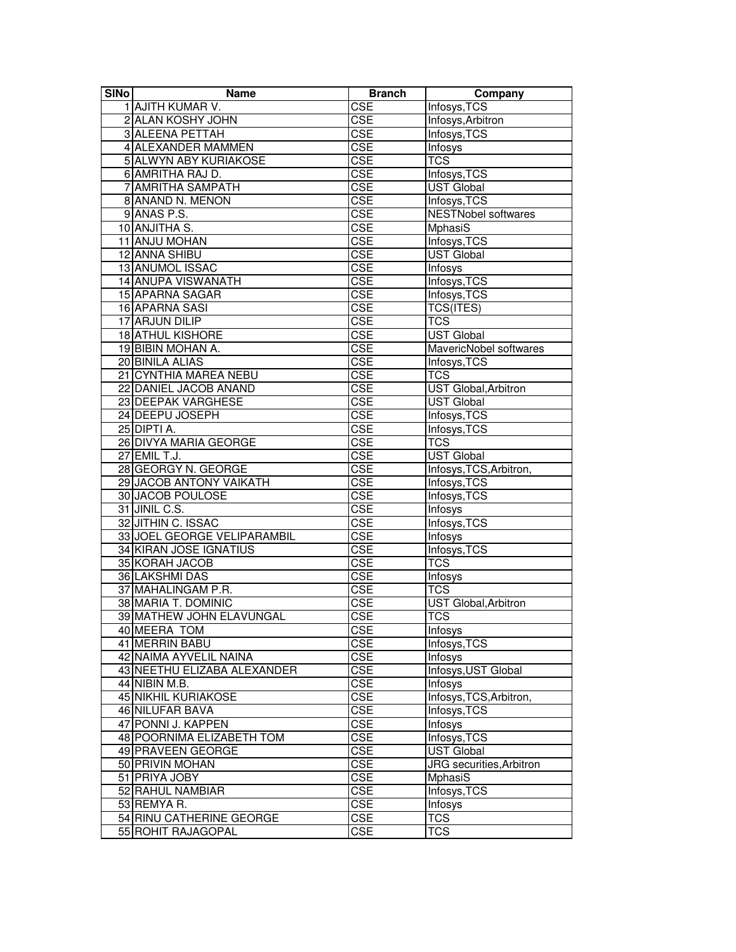| <b>SINo</b> | Name                        | <b>Branch</b> | Company                                 |
|-------------|-----------------------------|---------------|-----------------------------------------|
|             | 1 AJITH KUMAR V.            | CSE           | Infosys, TCS                            |
|             | 2 ALAN KOSHY JOHN           | CSE           | Infosys, Arbitron                       |
|             | <b>3 ALEENA PETTAH</b>      | <b>CSE</b>    | Infosys, TCS                            |
|             | 4 ALEXANDER MAMMEN          | CSE           | Infosys                                 |
|             | 5 ALWYN ABY KURIAKOSE       | <b>CSE</b>    | <b>TCS</b>                              |
|             | 6 AMRITHA RAJ D.            | <b>CSE</b>    | Infosys, TCS                            |
|             | 7 AMRITHA SAMPATH           | CSE           | <b>UST Global</b>                       |
|             | 8 ANAND N. MENON            | CSE           | Infosys, TCS                            |
|             | 9 ANAS P.S.                 | CSE           | <b>NESTNobel softwares</b>              |
|             | 10 ANJITHA S.               | <b>CSE</b>    | MphasiS                                 |
|             | 11 ANJU MOHAN               | <b>CSE</b>    | Infosys, TCS                            |
|             | 12 ANNA SHIBU               | CSE           | <b>UST Global</b>                       |
|             | <b>13 ANUMOL ISSAC</b>      | CSE           | Infosys                                 |
|             | 14 ANUPA VISWANATH          | <b>CSE</b>    | Infosys, TCS                            |
|             | 15 APARNA SAGAR             | <b>CSE</b>    | Infosys, TCS                            |
|             | 16 APARNA SASI              | <b>CSE</b>    | <b>TCS(ITES)</b>                        |
|             | 17 ARJUN DILIP              | CSE           | <b>TCS</b>                              |
|             | 18 ATHUL KISHORE            | <b>CSE</b>    | <b>UST Global</b>                       |
|             | 19 BIBIN MOHAN A.           | <b>CSE</b>    | MavericNobel softwares                  |
|             | 20 BINILA ALIAS             | CSE           | Infosys, TCS                            |
|             | 21 CYNTHIA MAREA NEBU       | CSE           | <b>TCS</b>                              |
|             | 22 DANIEL JACOB ANAND       | <b>CSE</b>    | <b>UST Global, Arbitron</b>             |
|             | 23 DEEPAK VARGHESE          | CSE           | <b>UST Global</b>                       |
|             | 24 DEEPU JOSEPH             | <b>CSE</b>    |                                         |
|             | 25 DIPTI A.                 | <b>CSE</b>    | Infosys, TCS                            |
|             | 26 DIVYA MARIA GEORGE       | <b>CSE</b>    | Infosys, TCS<br><b>TCS</b>              |
|             | 27 EMIL T.J.                | CSE           | <b>UST Global</b>                       |
|             | 28 GEORGY N. GEORGE         | <b>CSE</b>    |                                         |
|             | 29 JACOB ANTONY VAIKATH     | CSE           | Infosys, TCS, Arbitron,<br>Infosys, TCS |
|             | 30 JACOB POULOSE            | <b>CSE</b>    | Infosys, TCS                            |
|             | 31 JINIL C.S.               | CSE           | Infosys                                 |
|             | 32 JITHIN C. ISSAC          | <b>CSE</b>    | Infosys, TCS                            |
|             | 33 JOEL GEORGE VELIPARAMBIL | CSE           | Infosys                                 |
|             | 34 KIRAN JOSE IGNATIUS      | CSE           | Infosys, TCS                            |
|             | 35 KORAH JACOB              | <b>CSE</b>    | <b>TCS</b>                              |
|             | 36 LAKSHMI DAS              | CSE           |                                         |
|             | 37 MAHALINGAM P.R.          | CSE           | Infosys<br><b>TCS</b>                   |
|             | 38 MARIA T. DOMINIC         | <b>CSE</b>    | <b>UST Global, Arbitron</b>             |
|             | 39 MATHEW JOHN ELAVUNGAL    | CSE           | <b>TCS</b>                              |
|             | 40 MEERA TOM                |               |                                         |
|             | 41 MERRIN BABU              | CSE<br>CSE    | Infosys<br>Infosys, TCS                 |
|             | 42 NAIMA AYVELIL NAINA      | CSE           | Infosys                                 |
|             |                             | <b>CSE</b>    | Infosys, UST Global                     |
|             | 43 NEETHU ELIZABA ALEXANDER |               |                                         |
|             | 44 NIBIN M.B.               | <b>CSE</b>    | Infosys<br>Infosys, TCS, Arbitron,      |
|             | 45 NIKHIL KURIAKOSE         | <b>CSE</b>    |                                         |
|             | 46 NILUFAR BAVA             | CSE           | Infosys, TCS                            |
|             | 47 PONNI J. KAPPEN          | CSE           | Infosys                                 |
|             | 48 POORNIMA ELIZABETH TOM   | CSE           | Infosys, TCS                            |
|             | 49 PRAVEEN GEORGE           | CSE           | <b>UST</b> Global                       |
|             | 50 PRIVIN MOHAN             | CSE           | JRG securities, Arbitron                |
|             | 51 PRIYA JOBY               | <b>CSE</b>    | <b>MphasiS</b>                          |
|             | 52 RAHUL NAMBIAR            | <b>CSE</b>    | Infosys, TCS                            |
|             | 53 REMYA R.                 | <b>CSE</b>    | Infosys                                 |
|             | 54 RINU CATHERINE GEORGE    | CSE           | <b>TCS</b>                              |
|             | 55 ROHIT RAJAGOPAL          | <b>CSE</b>    | <b>TCS</b>                              |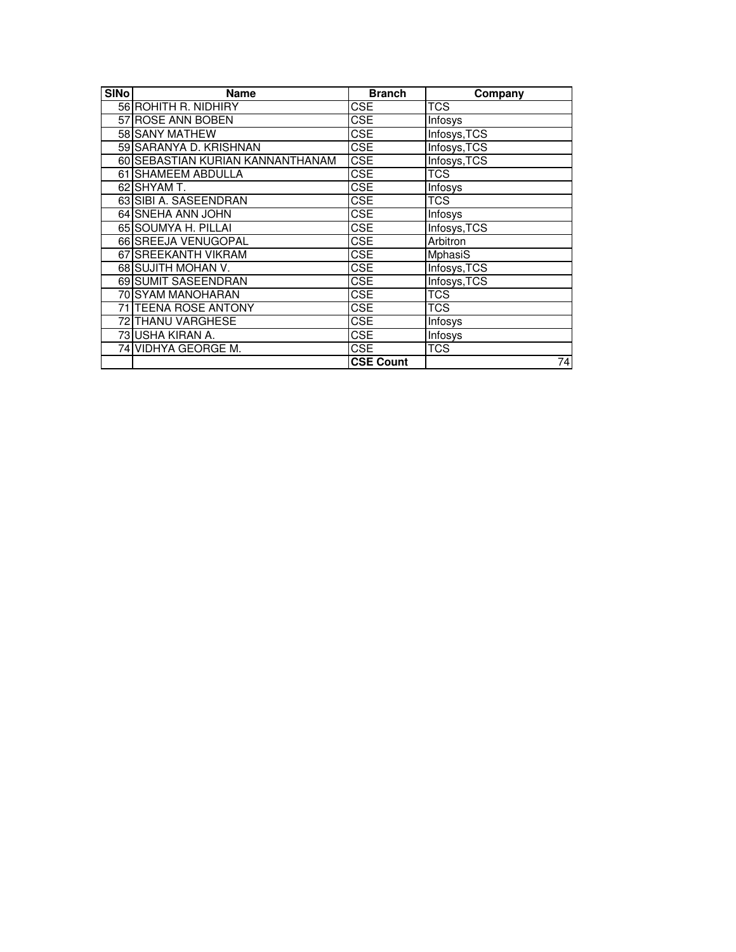| <b>SINo</b> | <b>Name</b>                      | <b>Branch</b>    | Company        |
|-------------|----------------------------------|------------------|----------------|
|             | 56 ROHITH R. NIDHIRY             | <b>CSE</b>       | TCS            |
|             | 57 ROSE ANN BOBEN                | <b>CSE</b>       | Infosys        |
|             | 58 SANY MATHEW                   | CSE              | Infosys, TCS   |
|             | 59 SARANYA D. KRISHNAN           | <b>CSE</b>       | Infosys, TCS   |
|             | 60 SEBASTIAN KURIAN KANNANTHANAM | <b>CSE</b>       | Infosys, TCS   |
|             | 61 SHAMEEM ABDULLA               | CSE              | <b>TCS</b>     |
|             | 62 SHYAM T.                      | <b>CSE</b>       | Infosys        |
|             | 63 SIBI A. SASEENDRAN            | <b>CSE</b>       | <b>TCS</b>     |
|             | 64 SNEHA ANN JOHN                | <b>CSE</b>       | Infosys        |
|             | 65 SOUMYA H. PILLAI              | <b>CSE</b>       | Infosys, TCS   |
|             | 66 SREEJA VENUGOPAL              | <b>CSE</b>       | Arbitron       |
|             | 67 SREEKANTH VIKRAM              | <b>CSE</b>       | <b>MphasiS</b> |
|             | 68 SUJITH MOHAN V.               | <b>CSE</b>       | Infosys, TCS   |
|             | 69 SUMIT SASEENDRAN              | <b>CSE</b>       | Infosys, TCS   |
|             | 70 SYAM MANOHARAN                | <b>CSE</b>       | <b>TCS</b>     |
|             | 71 TEENA ROSE ANTONY             | CSE              | TCS            |
|             | 72 THANU VARGHESE                | <b>CSE</b>       | Infosys        |
|             | 73 USHA KIRAN A.                 | <b>CSE</b>       | Infosys        |
|             | 74 VIDHYA GEORGE M.              | <b>CSE</b>       | <b>TCS</b>     |
|             |                                  | <b>CSE Count</b> | 74             |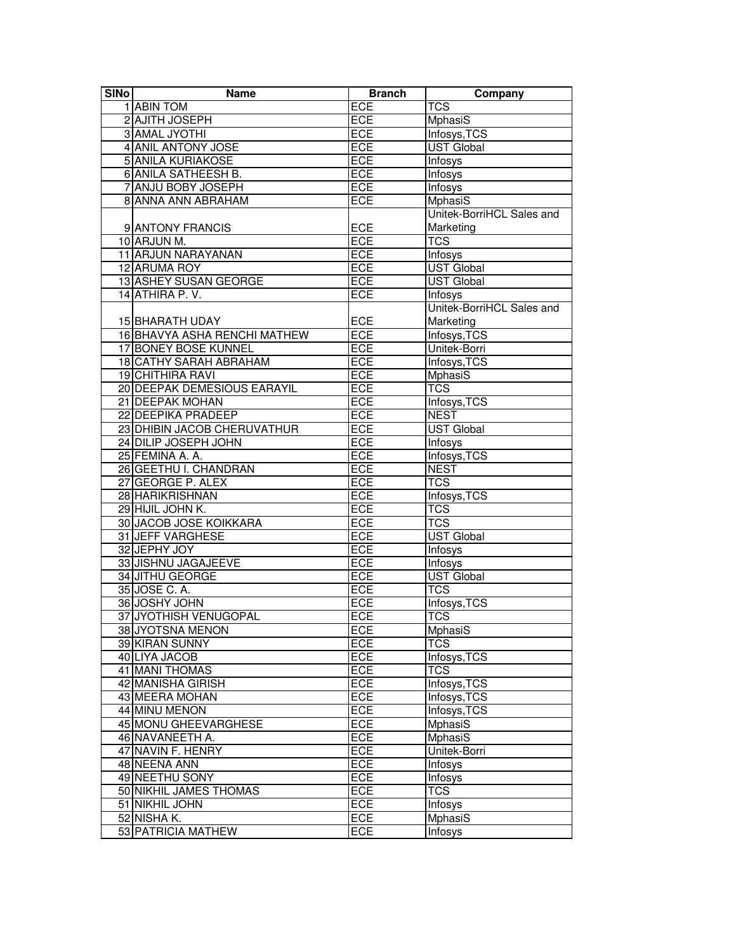| <b>Branch</b><br><b>SINo</b><br><b>Name</b>                           | Company                   |
|-----------------------------------------------------------------------|---------------------------|
| 1 ABIN TOM<br>ECE<br><b>TCS</b>                                       |                           |
| ECE<br>2 AJITH JOSEPH<br><b>MphasiS</b>                               |                           |
| 3 AMAL JYOTHI<br><b>ECE</b><br>Infosys, TCS                           |                           |
| 4 ANIL ANTONY JOSE<br><b>ECE</b><br><b>UST Global</b>                 |                           |
| <b>5 ANILA KURIAKOSE</b><br>ECE<br>Infosys                            |                           |
| <b>6 ANILA SATHEESH B.</b><br>ECE<br>Infosys                          |                           |
| 7 ANJU BOBY JOSEPH<br>ECE<br><b>Infosys</b>                           |                           |
| <b>MphasiS</b><br>8 ANNA ANN ABRAHAM<br><b>ECE</b>                    |                           |
|                                                                       | Unitek-BorriHCL Sales and |
| ECE<br>9 ANTONY FRANCIS<br>Marketing                                  |                           |
| 10 ARJUN M.<br>ECE<br><b>TCS</b>                                      |                           |
| 11 ARJUN NARAYANAN<br><b>ECE</b><br>Infosys                           |                           |
| 12 ARUMA ROY<br>ECE<br><b>UST Global</b>                              |                           |
| <b>UST Global</b><br>13 ASHEY SUSAN GEORGE<br>ECE                     |                           |
| 14 ATHIRA P.V.<br>ECE<br>Infosys                                      |                           |
|                                                                       | Unitek-BorriHCL Sales and |
| ECE<br>15 BHARATH UDAY<br>Marketing                                   |                           |
| Infosys, TCS<br>16 BHAVYA ASHA RENCHI MATHEW<br>ECE                   |                           |
| 17 BONEY BOSE KUNNEL<br>ECE<br>Unitek-Borri                           |                           |
| 18 CATHY SARAH ABRAHAM<br>ECE<br>Infosys, TCS                         |                           |
| 19 CHITHIRA RAVI<br>ECE<br><b>MphasiS</b>                             |                           |
| <b>TCS</b><br>20 DEEPAK DEMESIOUS EARAYIL<br>ECE                      |                           |
| 21 DEEPAK MOHAN<br>ECE                                                |                           |
| Infosys, TCS<br>22 DEEPIKA PRADEEP<br><b>NEST</b>                     |                           |
| ECE<br>23 DHIBIN JACOB CHERUVATHUR<br><b>UST Global</b><br><b>ECE</b> |                           |
| 24 DILIP JOSEPH JOHN<br>ECE<br>Infosys                                |                           |
| 25 FEMINA A. A.<br>ECE<br>Infosys, TCS                                |                           |
| 26 GEETHU I. CHANDRAN<br><b>NEST</b><br>ECE                           |                           |
| <b>TCS</b><br>27 GEORGE P. ALEX<br>ECE                                |                           |
| 28 HARIKRISHNAN<br>ECE<br>Infosys, TCS                                |                           |
| 29 HIJIL JOHN K.<br>ECE<br><b>TCS</b>                                 |                           |
| 30 JACOB JOSE KOIKKARA<br>ECE<br><b>TCS</b>                           |                           |
| 31 JEFF VARGHESE<br>ECE<br><b>UST Global</b>                          |                           |
| 32 JEPHY JOY<br>ECE<br><b>Infosys</b>                                 |                           |
| 33 JISHNU JAGAJEEVE<br>ECE<br><b>Infosys</b>                          |                           |
| 34 JITHU GEORGE<br><b>UST Global</b><br>ECE                           |                           |
| <b>TCS</b><br>35 JOSE C. A.<br><b>ECE</b>                             |                           |
| 36 JOSHY JOHN<br>Infosys, TCS<br><b>ECE</b>                           |                           |
| 37 JYOTHISH VENUGOPAL<br>ECE<br>$\overline{\text{TCS}}$               |                           |
| 38 JYOTSNA MENON<br>ECE<br>MphasiS                                    |                           |
| 39 KIRAN SUNNY<br><b>ECE</b><br>$\overline{\text{TCS}}$               |                           |
| ECE<br>40 LIYA JACOB<br>Infosys, TCS                                  |                           |
| $\overline{\text{TCS}}$<br>41 MANI THOMAS<br>ECE                      |                           |
| <b>42 MANISHA GIRISH</b><br>ECE<br>Infosys, TCS                       |                           |
| 43 MEERA MOHAN<br>ECE<br>Infosys, TCS                                 |                           |
| 44 MINU MENON<br><b>ECE</b><br>Infosys, TCS                           |                           |
| ECE<br><b>MphasiS</b><br>45 MONU GHEEVARGHESE                         |                           |
| <b>ECE</b><br>46 NAVANEETH A.<br>MphasiS                              |                           |
| ECE<br>47 NAVIN F. HENRY<br>Unitek-Borri                              |                           |
| 48 NEENA ANN<br>ECE<br>Infosys                                        |                           |
| 49 NEETHU SONY<br>ECE<br>Infosys                                      |                           |
| 50 NIKHIL JAMES THOMAS<br><b>ECE</b><br><b>TCS</b>                    |                           |
| 51 NIKHIL JOHN<br>ECE<br><b>Infosys</b>                               |                           |
| ECE<br><b>MphasiS</b><br>52 NISHA K.                                  |                           |
| 53 PATRICIA MATHEW<br>ECE<br><b>Infosys</b>                           |                           |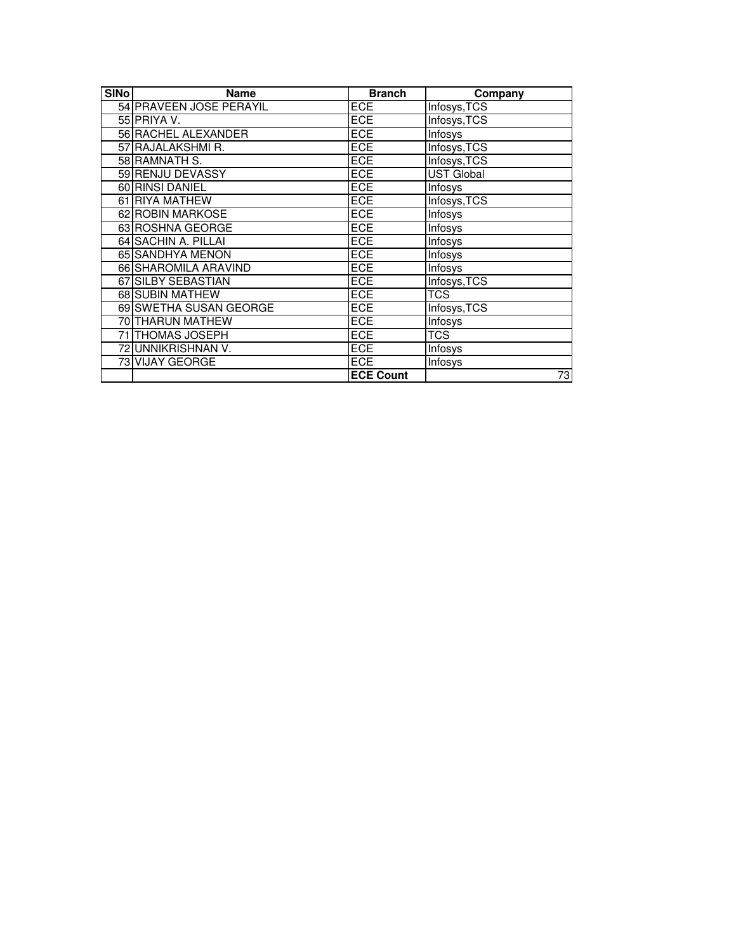| <b>SINo</b> | <b>Name</b>             | <b>Branch</b>    | Company           |
|-------------|-------------------------|------------------|-------------------|
|             | 54 PRAVEEN JOSE PERAYIL | <b>ECE</b>       | Infosys, TCS      |
|             | 55 PRIYA V.             | <b>ECE</b>       | Infosys, TCS      |
|             | 56 RACHEL ALEXANDER     | <b>ECE</b>       | Infosys           |
|             | 57 RAJALAKSHMI R.       | <b>ECE</b>       | Infosys, TCS      |
|             | 58 RAMNATH S.           | <b>ECE</b>       | Infosys, TCS      |
|             | 59 RENJU DEVASSY        | <b>ECE</b>       | <b>UST Global</b> |
|             | 60 RINSI DANIEL         | <b>ECE</b>       | Infosys           |
|             | 61 RIYA MATHEW          | ECE              | Infosys, TCS      |
|             | 62 ROBIN MARKOSE        | <b>ECE</b>       | Infosys           |
|             | 63 ROSHNA GEORGE        | <b>ECE</b>       | Infosys           |
|             | 64 SACHIN A. PILLAI     | <b>ECE</b>       | Infosys           |
|             | 65 SANDHYA MENON        | <b>ECE</b>       | Infosys           |
|             | 66 SHAROMILA ARAVIND    | <b>ECE</b>       | Infosys           |
|             | 67 SILBY SEBASTIAN      | <b>ECE</b>       | Infosys, TCS      |
|             | 68 SUBIN MATHEW         | <b>ECE</b>       | <b>TCS</b>        |
|             | 69 SWETHA SUSAN GEORGE  | <b>ECE</b>       | Infosys, TCS      |
|             | <b>70 THARUN MATHEW</b> | <b>ECE</b>       | Infosys           |
|             | 71 THOMAS JOSEPH        | <b>ECE</b>       | TCS               |
|             | 72 UNNIKRISHNAN V.      | ECE              | Infosys           |
|             | 73 VIJAY GEORGE         | <b>ECE</b>       | Infosys           |
|             |                         | <b>ECE Count</b> | 73                |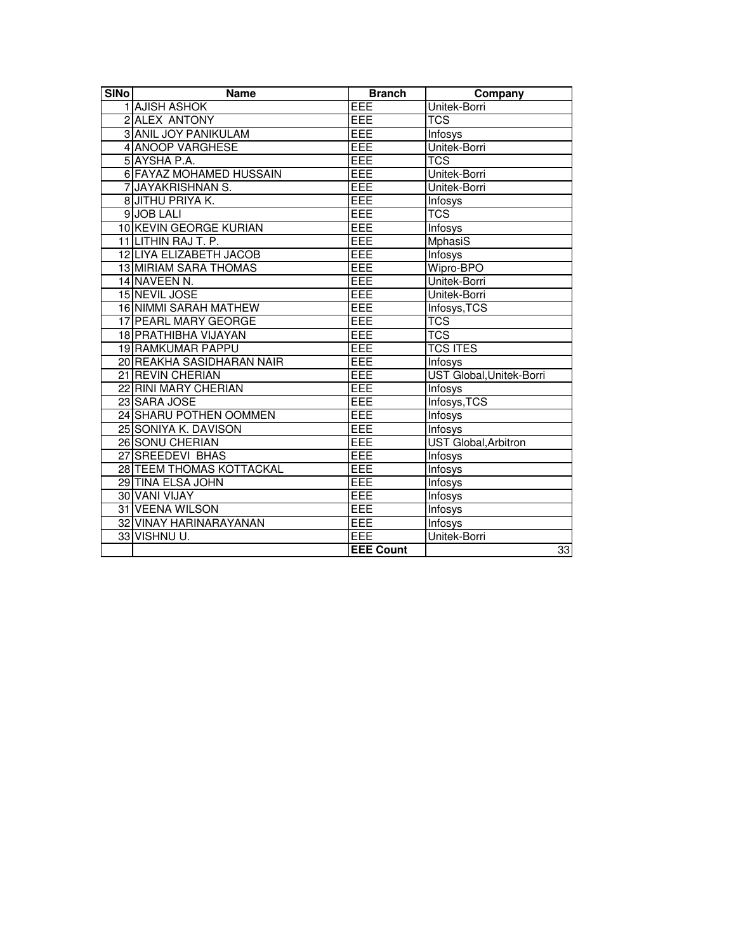| <b>SINo</b> | <b>Name</b>                  | <b>Branch</b>    | Company                     |
|-------------|------------------------------|------------------|-----------------------------|
|             | 1 AJISH ASHOK                | EEE              | Unitek-Borri                |
|             | 2 ALEX ANTONY                | EEE              | <b>TCS</b>                  |
|             | <b>3 ANIL JOY PANIKULAM</b>  | EEE              | <b>Infosys</b>              |
|             | 4 ANOOP VARGHESE             | EEE              | Unitek-Borri                |
|             | 5 AYSHA P.A.                 | EEE              | <b>TCS</b>                  |
|             | 6 FAYAZ MOHAMED HUSSAIN      | EEE              | Unitek-Borri                |
|             | 7 JAYAKRISHNAN S.            | EEE              | Unitek-Borri                |
|             | 8 JITHU PRIYA K.             | EEE              | Infosys                     |
|             | 9JOB LALI                    | EEE              | <b>TCS</b>                  |
|             | 10 KEVIN GEORGE KURIAN       | EEE              | <b>Infosys</b>              |
|             | 11 LITHIN RAJ T. P.          | EEE              | MphasiS                     |
|             | 12 LIYA ELIZABETH JACOB      | EEE              | <b>Infosys</b>              |
|             | <b>13 MIRIAM SARA THOMAS</b> | EEE              | Wipro-BPO                   |
|             | 14 NAVEEN N.                 | EEE              | Unitek-Borri                |
|             | 15 NEVIL JOSE                | EEE              | Unitek-Borri                |
|             | <b>16 NIMMI SARAH MATHEW</b> | EEE              | Infosys, TCS                |
|             | 17 PEARL MARY GEORGE         | EEE              | <b>TCS</b>                  |
|             | 18 PRATHIBHA VIJAYAN         | EEE              | <b>TCS</b>                  |
|             | <b>19 RAMKUMAR PAPPU</b>     | EEE              | <b>TCS ITES</b>             |
|             | 20 REAKHA SASIDHARAN NAIR    | EEE              | Infosys                     |
|             | 21 REVIN CHERIAN             | EEE              | UST Global, Unitek-Borri    |
|             | 22 RINI MARY CHERIAN         | EEE              | Infosys                     |
|             | 23 SARA JOSE                 | EEE              | Infosys, TCS                |
|             | 24 SHARU POTHEN OOMMEN       | EEE              | Infosys                     |
|             | 25 SONIYA K. DAVISON         | EEE              | Infosys                     |
|             | 26 SONU CHERIAN              | EEE              | <b>UST Global, Arbitron</b> |
|             | 27 SREEDEVI BHAS             | EEE              | <b>Infosys</b>              |
|             | 28 TEEM THOMAS KOTTACKAL     | EEE              | <b>Infosys</b>              |
|             | 29 TINA ELSA JOHN            | EEE              | <b>Infosys</b>              |
|             | 30 VANI VIJAY                | EEE              | Infosys                     |
|             | 31 VEENA WILSON              | EEE              | <b>Infosys</b>              |
|             | 32 VINAY HARINARAYANAN       | EEE              | <b>Infosys</b>              |
|             | 33 VISHNU U.                 | EEE              | Unitek-Borri                |
|             |                              | <b>EEE Count</b> | 33                          |